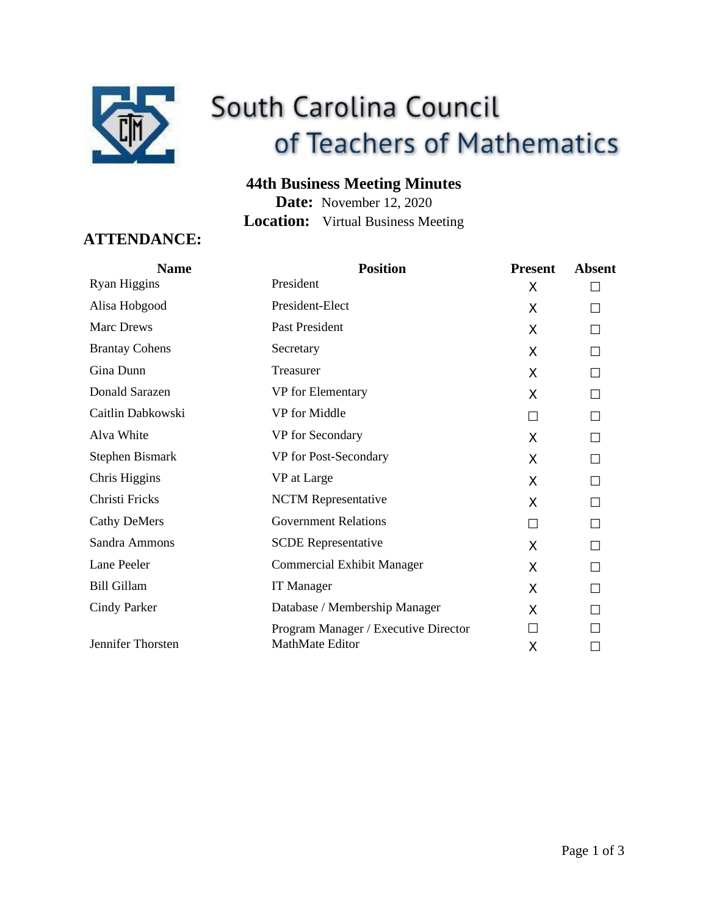

# South Carolina Council of Teachers of Mathematics

# **44th Business Meeting Minutes**

**Date:** November 12, 2020 **Location:** Virtual Business Meeting

# **ATTENDANCE:**

| <b>Name</b>           | <b>Position</b>                      | <b>Present</b> | <b>Absent</b> |
|-----------------------|--------------------------------------|----------------|---------------|
| <b>Ryan Higgins</b>   | President                            | X              |               |
| Alisa Hobgood         | President-Elect                      | X              | П             |
| <b>Marc Drews</b>     | Past President                       | X              | П             |
| <b>Brantay Cohens</b> | Secretary                            | X              | П             |
| Gina Dunn             | Treasurer                            | X              | П             |
| Donald Sarazen        | VP for Elementary                    | X              | П             |
| Caitlin Dabkowski     | VP for Middle                        | П              | П             |
| Alva White            | VP for Secondary                     | X              | П             |
| Stephen Bismark       | VP for Post-Secondary                | X              | П             |
| Chris Higgins         | VP at Large                          | X              | П             |
| Christi Fricks        | <b>NCTM Representative</b>           | X              | П             |
| <b>Cathy DeMers</b>   | <b>Government Relations</b>          | П              | П             |
| Sandra Ammons         | <b>SCDE Representative</b>           | X              | П             |
| Lane Peeler           | Commercial Exhibit Manager           | X              | П             |
| <b>Bill Gillam</b>    | <b>IT Manager</b>                    | X              | П             |
| <b>Cindy Parker</b>   | Database / Membership Manager        | X              | П             |
|                       | Program Manager / Executive Director | П              |               |
| Jennifer Thorsten     | MathMate Editor                      | X              | П             |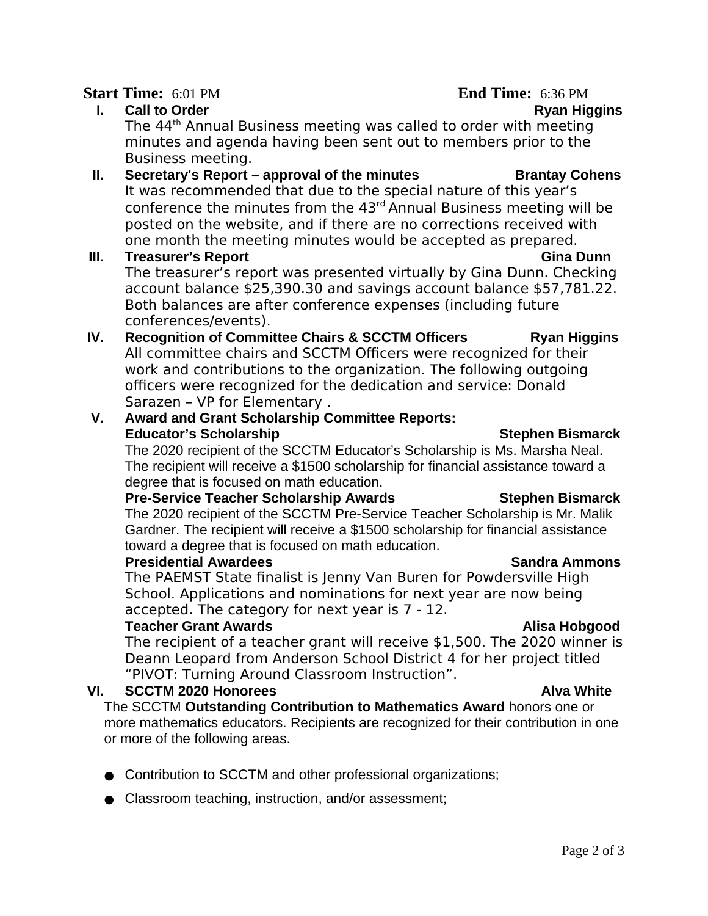### **Start Time:** 6:01 PM **End Time:** 6:36 PM

**I.** Call to Order **Ryan Higgins** The 44th Annual Business meeting was called to order with meeting minutes and agenda having been sent out to members prior to the Business meeting.

### **II.** Secretary's Report – approval of the minutes Brantay Cohens It was recommended that due to the special nature of this year's conference the minutes from the 43rd Annual Business meeting will be posted on the website, and if there are no corrections received with one month the meeting minutes would be accepted as prepared.

### **III. Treasurer's Report Gina Dunn**  The treasurer's report was presented virtually by Gina Dunn. Checking account balance \$25,390.30 and savings account balance \$57,781.22. Both balances are after conference expenses (including future conferences/events).

**IV.** Recognition of Committee Chairs & SCCTM Officers **Ryan Higgins** All committee chairs and SCCTM Officers were recognized for their work and contributions to the organization. The following outgoing officers were recognized for the dedication and service: Donald Sarazen – VP for Elementary .

# **V. Award and Grant Scholarship Committee Reports: Educator's Scholarship Stephen Bismarck** Stephen Bismarck

The 2020 recipient of the SCCTM Educator's Scholarship is Ms. Marsha Neal. The recipient will receive a \$1500 scholarship for financial assistance toward a degree that is focused on math education.

# **Pre-Service Teacher Scholarship Awards Stephen Bismarck**

The 2020 recipient of the SCCTM Pre-Service Teacher Scholarship is Mr. Malik Gardner. The recipient will receive a \$1500 scholarship for financial assistance toward a degree that is focused on math education.

# **Presidential Awardees Sandra Ammons**

The PAEMST State finalist is Jenny Van Buren for Powdersville High School. Applications and nominations for next year are now being accepted. The category for next year is 7 - 12.

# **Teacher Grant Awards Alisa Hobgood**

The recipient of a teacher grant will receive \$1,500. The 2020 winner is Deann Leopard from Anderson School District 4 for her project titled "PIVOT: Turning Around Classroom Instruction".

# **VI. SCCTM 2020 Honorees Alva White**

The SCCTM **Outstanding Contribution to Mathematics Award** honors one or more mathematics educators. Recipients are recognized for their contribution in one or more of the following areas.

- Contribution to SCCTM and other professional organizations;
- Classroom teaching, instruction, and/or assessment;